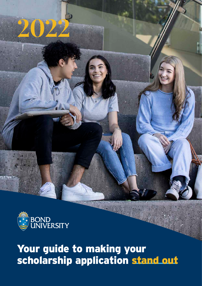

**2022**

# Your guide to making your scholarship application stand out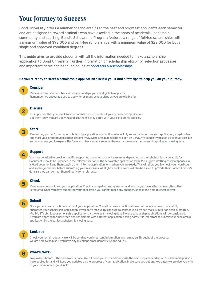# **Your Journey to Success**

Bond University offers a number of scholarships to the best and brightest applicants each semester and are designed to reward students who have excelled in the areas of academia, leadership, community and sporting. Bond's Scholarship Program features a range of full-fee scholarships with a minimum value of \$93,000 and part-fee scholarships with a minimum value of \$23,000 for both single and approved combined degrees.

This guide aims to provide students with all the information needed to make a scholarship application to Bond University. Further information on scholarship eligibility, selection processes and important dates can be found online at [bond.edu.au/scholarships.](http://bond.edu.au/scholarships) 

#### **So you're ready to start a scholarship application? Below you'll find a few tips to help you on your journey.**

## **Consider**

**1**

**2**

**3**

Review our website and check which scholarships you are eligible to apply for. Remember, we encourage you to apply for as many scholarships as you are eligible for.

### **Discuss**

It's important that you speak to your parents and school about your scholarship application. Let them know you are applying and ask them if they agree with your scholarship choices.

### **Start**

Remember, you can't start your scholarship application form until you have fully submitted your program application, so get online and start your program application straight away. Scholarship applications open on 2 May. We suggest you start as soon as possible and encourage you to explore the form and check what is required before by the relevant scholarship application closing date.

### **Support**

**4**

**5**

**6**

You may be asked to provide specific supporting documents or write an essay depending on the scholarship(s) you apply for. Documents should be uploaded in the relevant section of the scholarship application form. We suggest drafting essay responses in a Word document and then copying them into the application form when you are ready. This will allow you to check your word count and spelling/grammar before submitting your responses. All High School Leavers will also be asked to provide their Career Advisor's details so we can contact them directly for a reference.

#### **Check**

Make sure you proof read your application. Check your spelling and grammar and ensure you have attached everything that is required. Once you have submitted your application you cannot make any changes, so take the time to check it over.

### **Submit**

Once you are ready, it's time to submit your application. You will receive a confirmation email once you have successfully submitted your scholarship application. If you don't receive this be sure to contact us so we can make sure it has been submitted. You MUST submit your scholarship application by the relevant closing date. No late scholarship applications will be considered. If you are applying for more then one scholarship with different application closing dates, it is important to submit your scholarship application by the earliest scholarship closing date.

### **Look out**

Check your email regularly. We will be sending you important information and reminders throughout the process. We are here to help so if you have any questions email domestic@bond.edu.au.

#### **What's Next?**

**8**

**7**

Take a deep breath… the hard work is done. We will send you further details with the next steps depending on the scholarship(s) you have applied for and will keep you updated on the progress of your application. Make sure you put any key dates we provide you with in your calendar and good luck!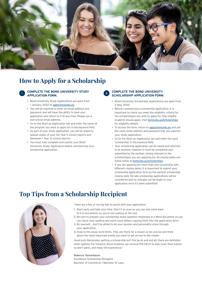

# **How to Apply for a Scholarship**

#### **COMPLETE THE BOND UNIVERSITY STUDY APPLICATION FORM.**

- Bond University Study Applications are open from 1 January, 2022 at [apply.bond.edu.au](http://apply.bond.edu.au).
- You will be required to enter an email address and password, and will have the ability to save your application and return to it at any time. Please use a non-school email address.
- Go to the Start an Application tab and enter the name of the program you want to apply for in the keyword field.
- As part of your study application, you will be asked to upload copies of your full Year 11 school reports and Semester 1 Year 12 school reports.
- You must fully complete and submit your Bond University Study Application before commencing your scholarship application.

#### **COMPLETE THE BOND UNIVERSITY SCHOLARSHIP APPLICATION FORM.**

- Bond University Scholarship Applications are open from 2 May, 2022.
- Before commencing a scholarship application, it is important to check you meet the eligibility criteria for the scholarship(s) you wish to apply for. Only eligible students should apply. Visit [bond.edu.au/scholarships](http://bond.edu.au/scholarships) for eligibility details.
- To access the form, return to [apply.bond.edu.au](http://apply.bond.edu.au) and use the same email address and password that you used for your study application.
- Go to the Start an Application tab and enter the word 'scholarship' in the keyword field.
- Your scholarship application can be saved and returned to at anytime, however it must be completed and submitted by the earliest closing relevant to the scholarship(s) you are applying for. All closing dates are listed online at [bond.edu.au/scholarships](http://bond.edu.au/scholarships).
- If you are applying for more than one scholarship with different closing dates, it is important to submit your scholarship application form by the earliest scholarship closing date. No late scholarship applications will be considered and no changes can be made to your application once it's been submitted.

# **Top Tips from a Scholarship Recipient**



"Here are a few of my top tips to assist with your application:

- 1. Start early and take your time. Start it as soon as you can and come back to it in increments so you're not rushing at the end.
- 2. Be sure to prepare your scholarship essay question responses in a Word document so you can check your spelling and word count before copying them into the application form.
- 3. Be yourself… don't be afraid to let your passion and personality shine through your application.
- 4. Keep to the essay word limits. They are there for a reason so be concise and think about the most important points you want to get across to the reader.

Good luck! Remember, getting a scholarship isn't the be all and end all, there are definitely other options. For instance, Bond students can receive FEE-HELP to help cover their tuition so don't panic, and enjoy the experience."

#### **Rebecca Tannenbaum**

Excellence Scholarship Recipient Bachelor of Commerce / Bachelor of Laws